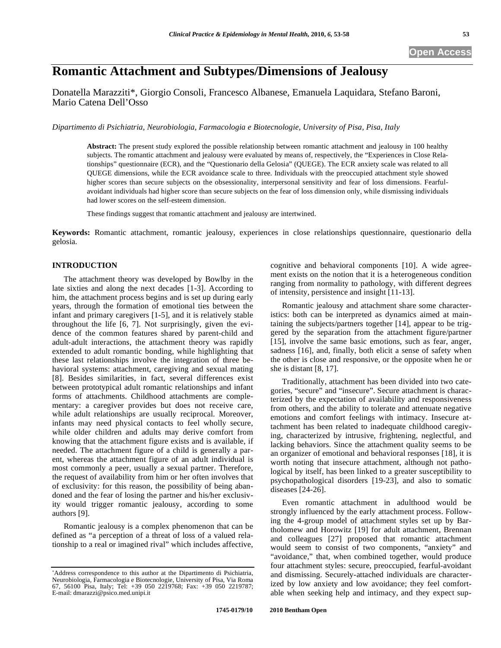# **Romantic Attachment and Subtypes/Dimensions of Jealousy**

Donatella Marazziti\*, Giorgio Consoli, Francesco Albanese, Emanuela Laquidara, Stefano Baroni, Mario Catena Dell'Osso

*Dipartimento di Psichiatria, Neurobiologia, Farmacologia e Biotecnologie, University of Pisa, Pisa, Italy* 

**Abstract:** The present study explored the possible relationship between romantic attachment and jealousy in 100 healthy subjects. The romantic attachment and jealousy were evaluated by means of, respectively, the "Experiences in Close Relationships" questionnaire (ECR), and the "Questionario della Gelosia" (QUEGE). The ECR anxiety scale was related to all QUEGE dimensions, while the ECR avoidance scale to three. Individuals with the preoccupied attachment style showed higher scores than secure subjects on the obsessionality, interpersonal sensitivity and fear of loss dimensions. Fearfulavoidant individuals had higher score than secure subjects on the fear of loss dimension only, while dismissing individuals had lower scores on the self-esteem dimension.

These findings suggest that romantic attachment and jealousy are intertwined.

**Keywords:** Romantic attachment, romantic jealousy, experiences in close relationships questionnaire, questionario della gelosia.

# **INTRODUCTION**

The attachment theory was developed by Bowlby in the late sixties and along the next decades [1-3]. According to him, the attachment process begins and is set up during early years, through the formation of emotional ties between the infant and primary caregivers [1-5], and it is relatively stable throughout the life [6, 7]. Not surprisingly, given the evidence of the common features shared by parent-child and adult-adult interactions, the attachment theory was rapidly extended to adult romantic bonding, while highlighting that these last relationships involve the integration of three behavioral systems: attachment, caregiving and sexual mating [8]. Besides similarities, in fact, several differences exist between prototypical adult romantic relationships and infant forms of attachments. Childhood attachments are complementary: a caregiver provides but does not receive care, while adult relationships are usually reciprocal. Moreover, infants may need physical contacts to feel wholly secure, while older children and adults may derive comfort from knowing that the attachment figure exists and is available, if needed. The attachment figure of a child is generally a parent, whereas the attachment figure of an adult individual is most commonly a peer, usually a sexual partner. Therefore, the request of availability from him or her often involves that of exclusivity: for this reason, the possibility of being abandoned and the fear of losing the partner and his/her exclusivity would trigger romantic jealousy, according to some authors [9].

Romantic jealousy is a complex phenomenon that can be defined as "a perception of a threat of loss of a valued relationship to a real or imagined rival" which includes affective, cognitive and behavioral components [10]. A wide agreement exists on the notion that it is a heterogeneous condition ranging from normality to pathology, with different degrees of intensity, persistence and insight [11-13].

Romantic jealousy and attachment share some characteristics: both can be interpreted as dynamics aimed at maintaining the subjects/partners together [14], appear to be triggered by the separation from the attachment figure/partner [15], involve the same basic emotions, such as fear, anger, sadness [16], and, finally, both elicit a sense of safety when the other is close and responsive, or the opposite when he or she is distant [8, 17].

Traditionally, attachment has been divided into two categories, "secure" and "insecure". Secure attachment is characterized by the expectation of availability and responsiveness from others, and the ability to tolerate and attenuate negative emotions and comfort feelings with intimacy. Insecure attachment has been related to inadequate childhood caregiving, characterized by intrusive, frightening, neglectful, and lacking behaviors. Since the attachment quality seems to be an organizer of emotional and behavioral responses [18], it is worth noting that insecure attachment, although not pathological by itself, has been linked to a greater susceptibility to psychopathological disorders [19-23], and also to somatic diseases [24-26].

Even romantic attachment in adulthood would be strongly influenced by the early attachment process. Following the 4-group model of attachment styles set up by Bartholomew and Horowitz [19] for adult attachment, Brennan and colleagues [27] proposed that romantic attachment would seem to consist of two components, "anxiety" and "avoidance," that, when combined together, would produce four attachment styles: secure, preoccupied, fearful-avoidant and dismissing. Securely-attached individuals are characterized by low anxiety and low avoidance; they feel comfortable when seeking help and intimacy, and they expect sup-

Address correspondence to this author at the Dipartimento di Psichiatria, Neurobiologia, Farmacologia e Biotecnologie, University of Pisa, Via Roma 67, 56100 Pisa, Italy; Tel: +39 050 2219768; Fax: +39 050 2219787; E-mail: dmarazzi@psico.med.unipi.it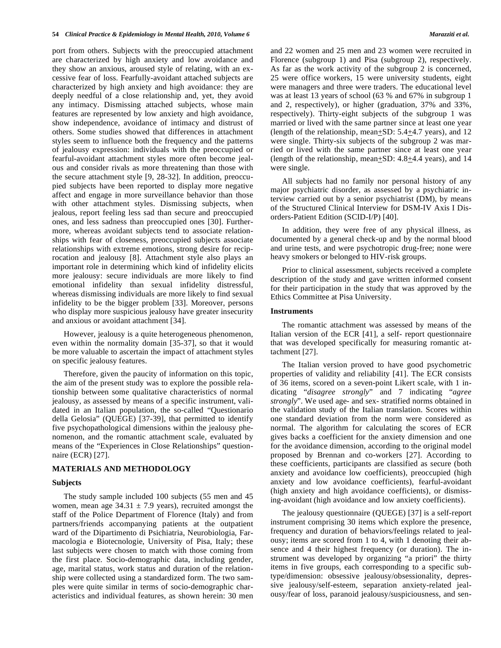port from others. Subjects with the preoccupied attachment are characterized by high anxiety and low avoidance and they show an anxious, aroused style of relating, with an excessive fear of loss. Fearfully-avoidant attached subjects are characterized by high anxiety and high avoidance: they are deeply needful of a close relationship and, yet, they avoid any intimacy. Dismissing attached subjects, whose main features are represented by low anxiety and high avoidance, show independence, avoidance of intimacy and distrust of others. Some studies showed that differences in attachment styles seem to influence both the frequency and the patterns of jealousy expression: individuals with the preoccupied or fearful-avoidant attachment styles more often become jealous and consider rivals as more threatening than those with the secure attachment style [9, 28-32]. In addition, preoccupied subjects have been reported to display more negative affect and engage in more surveillance behavior than those with other attachment styles. Dismissing subjects, when jealous, report feeling less sad than secure and preoccupied ones, and less sadness than preoccupied ones [30]. Furthermore, whereas avoidant subjects tend to associate relationships with fear of closeness, preoccupied subjects associate relationships with extreme emotions, strong desire for reciprocation and jealousy [8]. Attachment style also plays an important role in determining which kind of infidelity elicits more jealousy: secure individuals are more likely to find emotional infidelity than sexual infidelity distressful, whereas dismissing individuals are more likely to find sexual infidelity to be the bigger problem [33]. Moreover, persons who display more suspicious jealousy have greater insecurity and anxious or avoidant attachment [34].

However, jealousy is a quite heterogeneous phenomenon, even within the normality domain [35-37], so that it would be more valuable to ascertain the impact of attachment styles on specific jealousy features.

Therefore, given the paucity of information on this topic, the aim of the present study was to explore the possible relationship between some qualitative characteristics of normal jealousy, as assessed by means of a specific instrument, validated in an Italian population, the so-called "Questionario della Gelosia" (QUEGE) [37-39], that permitted to identify five psychopathological dimensions within the jealousy phenomenon, and the romantic attachment scale, evaluated by means of the "Experiences in Close Relationships" questionnaire (ECR) [27].

# **MATERIALS AND METHODOLOGY**

#### **Subjects**

The study sample included 100 subjects (55 men and 45 women, mean age  $34.31 \pm 7.9$  years), recruited amongst the staff of the Police Department of Florence (Italy) and from partners/friends accompanying patients at the outpatient ward of the Dipartimento di Psichiatria, Neurobiologia, Farmacologia e Biotecnologie, University of Pisa, Italy; these last subjects were chosen to match with those coming from the first place. Socio-demographic data, including gender, age, marital status, work status and duration of the relationship were collected using a standardized form. The two samples were quite similar in terms of socio-demographic characteristics and individual features, as shown herein: 30 men and 22 women and 25 men and 23 women were recruited in Florence (subgroup 1) and Pisa (subgroup 2), respectively. As far as the work activity of the subgroup 2 is concerned, 25 were office workers, 15 were university students, eight were managers and three were traders. The educational level was at least 13 years of school (63 % and 67% in subgroup 1 and 2, respectively), or higher (graduation, 37% and 33%, respectively). Thirty-eight subjects of the subgroup 1 was married or lived with the same partner since at least one year (length of the relationship, mean+SD: 5.4+4.7 years), and 12 were single. Thirty-six subjects of the subgroup 2 was married or lived with the same partner since at least one year (length of the relationship, mean+SD: 4.8+4.4 years), and 14 were single.

All subjects had no family nor personal history of any major psychiatric disorder, as assessed by a psychiatric interview carried out by a senior psychiatrist (DM), by means of the Structured Clinical Interview for DSM-IV Axis I Disorders-Patient Edition (SCID-I/P) [40].

In addition, they were free of any physical illness, as documented by a general check-up and by the normal blood and urine tests, and were psychotropic drug-free; none were heavy smokers or belonged to HIV-risk groups.

Prior to clinical assessment, subjects received a complete description of the study and gave written informed consent for their participation in the study that was approved by the Ethics Committee at Pisa University.

# **Instruments**

The romantic attachment was assessed by means of the Italian version of the ECR [41], a self- report questionnaire that was developed specifically for measuring romantic attachment [27].

The Italian version proved to have good psychometric properties of validity and reliability [41]. The ECR consists of 36 items, scored on a seven-point Likert scale, with 1 indicating "*disagree strongly*" and 7 indicating "*agree strongly*". We used age- and sex- stratified norms obtained in the validation study of the Italian translation. Scores within one standard deviation from the norm were considered as normal. The algorithm for calculating the scores of ECR gives backs a coefficient for the anxiety dimension and one for the avoidance dimension, according to the original model proposed by Brennan and co-workers [27]. According to these coefficients, participants are classified as secure (both anxiety and avoidance low coefficients), preoccupied (high anxiety and low avoidance coefficients), fearful-avoidant (high anxiety and high avoidance coefficients), or dismissing-avoidant (high avoidance and low anxiety coefficients).

The jealousy questionnaire (QUEGE) [37] is a self-report instrument comprising 30 items which explore the presence, frequency and duration of behaviors/feelings related to jealousy; items are scored from 1 to 4, with 1 denoting their absence and 4 their highest frequency (or duration). The instrument was developed by organizing "a priori" the thirty items in five groups, each corresponding to a specific subtype/dimension: obsessive jealousy/obsessionality, depressive jealousy/self-esteem, separation anxiety-related jealousy/fear of loss, paranoid jealousy/suspiciousness, and sen-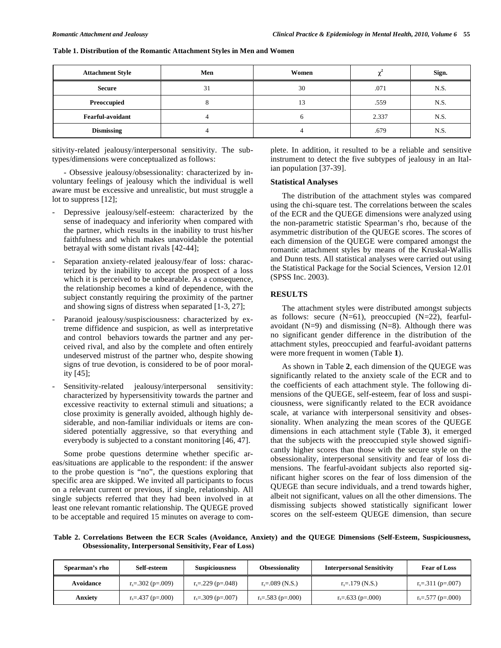| <b>Attachment Style</b> | Men | Women |       | Sign. |
|-------------------------|-----|-------|-------|-------|
| Secure                  | 31  | 30    | .071  | N.S.  |
| Preoccupied             |     | 13    | .559  | N.S.  |
| <b>Fearful-avoidant</b> |     |       | 2.337 | N.S.  |
| <b>Dismissing</b>       |     |       | .679  | N.S.  |

#### **Table 1. Distribution of the Romantic Attachment Styles in Men and Women**

sitivity-related jealousy/interpersonal sensitivity. The subtypes/dimensions were conceptualized as follows:

- Obsessive jealousy/obsessionality: characterized by involuntary feelings of jealousy which the individual is well aware must be excessive and unrealistic, but must struggle a lot to suppress [12];

- Depressive jealousy/self-esteem: characterized by the sense of inadequacy and inferiority when compared with the partner, which results in the inability to trust his/her faithfulness and which makes unavoidable the potential betrayal with some distant rivals [42-44];
- Separation anxiety-related jealousy/fear of loss: characterized by the inability to accept the prospect of a loss which it is perceived to be unbearable. As a consequence, the relationship becomes a kind of dependence, with the subject constantly requiring the proximity of the partner and showing signs of distress when separated [1-3, 27];
- Paranoid jealousy/suspisciousness: characterized by extreme diffidence and suspicion, as well as interpretative and control behaviors towards the partner and any perceived rival, and also by the complete and often entirely undeserved mistrust of the partner who, despite showing signs of true devotion, is considered to be of poor morality [45];
- Sensitivity-related jealousy/interpersonal sensitivity: characterized by hypersensitivity towards the partner and excessive reactivity to external stimuli and situations; a close proximity is generally avoided, although highly desiderable, and non-familiar individuals or items are considered potentially aggressive, so that everything and everybody is subjected to a constant monitoring [46, 47].

Some probe questions determine whether specific areas/situations are applicable to the respondent: if the answer to the probe question is "no", the questions exploring that specific area are skipped. We invited all participants to focus on a relevant current or previous, if single, relationship. All single subjects referred that they had been involved in at least one relevant romantic relationship. The QUEGE proved to be acceptable and required 15 minutes on average to complete. In addition, it resulted to be a reliable and sensitive instrument to detect the five subtypes of jealousy in an Italian population [37-39].

### **Statistical Analyses**

The distribution of the attachment styles was compared using the chi-square test. The correlations between the scales of the ECR and the QUEGE dimensions were analyzed using the non-parametric statistic Spearman's rho, because of the asymmetric distribution of the QUEGE scores. The scores of each dimension of the QUEGE were compared amongst the romantic attachment styles by means of the Kruskal-Wallis and Dunn tests. All statistical analyses were carried out using the Statistical Package for the Social Sciences, Version 12.01 (SPSS Inc. 2003).

# **RESULTS**

The attachment styles were distributed amongst subjects as follows: secure  $(N=61)$ , preoccupied  $(N=22)$ , fearfulavoidant  $(N=9)$  and dismissing  $(N=8)$ . Although there was no significant gender difference in the distribution of the attachment styles, preoccupied and fearful-avoidant patterns were more frequent in women (Table **1**).

As shown in Table **2**, each dimension of the QUEGE was significantly related to the anxiety scale of the ECR and to the coefficients of each attachment style. The following dimensions of the QUEGE, self-esteem, fear of loss and suspiciousness, were significantly related to the ECR avoidance scale, at variance with interpersonal sensitivity and obsessionality. When analyzing the mean scores of the QUEGE dimensions in each attachment style (Table **3**), it emerged that the subjects with the preoccupied style showed significantly higher scores than those with the secure style on the obsessionality, interpersonal sensitivity and fear of loss dimensions. The fearful-avoidant subjects also reported significant higher scores on the fear of loss dimension of the QUEGE than secure individuals, and a trend towards higher, albeit not significant, values on all the other dimensions. The dismissing subjects showed statistically significant lower scores on the self-esteem QUEGE dimension, than secure

**Table 2. Correlations Between the ECR Scales (Avoidance, Anxiety) and the QUEGE Dimensions (Self-Esteem, Suspiciousness, Obsessionality, Interpersonal Sensitivity, Fear of Loss)**

| Spearman's rho | Self-esteem          | <b>Suspiciousness</b> | <b>Obsessionality</b> | <b>Interpersonal Sensitivity</b> | <b>Fear of Loss</b>  |
|----------------|----------------------|-----------------------|-----------------------|----------------------------------|----------------------|
| Avoidance      | $r_s = 302$ (p=.009) | $r_s = 229$ (p=.048)  | $r_s = .089$ (N.S.)   | $r_s = 179$ (N.S.)               | $r_s = 311$ (p=.007) |
| Anxiety        | $r_s = 437$ (p=.000) | $r_s = .309$ (p=.007) | $r_s = .583$ (p=.000) | $r_s = .633$ (p=.000)            | $r_s = 577$ (p=.000) |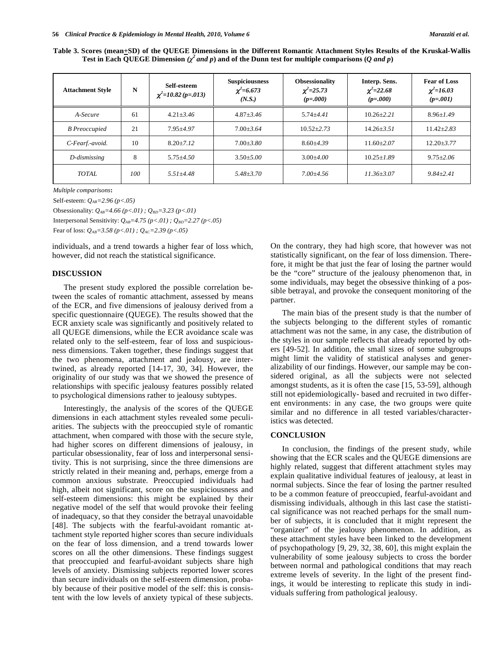| Table 3. Scores (mean+SD) of the QUEGE Dimensions in the Different Romantic Attachment Styles Results of the Kruskal-Wallis |  |
|-----------------------------------------------------------------------------------------------------------------------------|--|
| Test in Each QUEGE Dimension ( $\chi^2$ and p) and of the Dunn test for multiple comparisons (Q and p)                      |  |

| <b>Attachment Style</b> | N   | Self-esteem<br>$\chi^2$ =10.82 (p=.013) | <b>Suspiciousness</b><br>$\chi^2$ =6.673<br>(N.S.) | <b>Obsessionality</b><br>$\chi^2 = 25.73$<br>$(p=.000)$ | Interp. Sens.<br>$\chi^2 = 22.68$<br>$(p=.000)$ | <b>Fear of Loss</b><br>$\chi^2$ =16.03<br>$(p=.001)$ |
|-------------------------|-----|-----------------------------------------|----------------------------------------------------|---------------------------------------------------------|-------------------------------------------------|------------------------------------------------------|
| A-Secure                | 61  | $4.21 + 3.46$                           | $4.87 + 3.46$                                      | $5.74 + 4.41$                                           | $10.26 + 2.21$                                  | $8.96 + 1.49$                                        |
| <b>B</b> Preoccupied    | 21  | $7.95 + 4.97$                           | $7.00 + 3.64$                                      | $10.52 + 2.73$                                          | $14.26 + 3.51$                                  | $11.42 + 2.83$                                       |
| C-Fearf.-avoid.         | 10  | $8.20 + 7.12$                           | $7.00 + 3.80$                                      | $8.60 + 4.39$                                           | $11.60 + 2.07$                                  | $12.20 + 3.77$                                       |
| D-dismissing            | 8   | $5.75 + 4.50$                           | $3.50 + 5.00$                                      | $3.00 + 4.00$                                           | $10.25 + 1.89$                                  | $9.75 + 2.06$                                        |
| TOTAL.                  | 100 | $5.51 + 4.48$                           | $5.48 + 3.70$                                      | $7.00 + 4.56$                                           | $11.36 + 3.07$                                  | $9.84 + 2.41$                                        |

*Multiple comparisons***:** 

Self-esteem: *QAB=2.96 (p<.05)* 

Obsessionality:  $Q_{AB} = 4.66 (p < .01)$ ;  $Q_{BD} = 3.23 (p < .01)$ 

Interpersonal Sensitivity:  $Q_{AB}$ =4.75 (p <.01) ;  $Q_{BD}$ =2.27 (p <.05)

Fear of loss:  $Q_{AB} = 3.58 (p < 01)$ ;  $Q_{AC} = 2.39 (p < 05)$ 

individuals, and a trend towards a higher fear of loss which, however, did not reach the statistical significance.

### **DISCUSSION**

The present study explored the possible correlation between the scales of romantic attachment, assessed by means of the ECR, and five dimensions of jealousy derived from a specific questionnaire (QUEGE). The results showed that the ECR anxiety scale was significantly and positively related to all QUEGE dimensions, while the ECR avoidance scale was related only to the self-esteem, fear of loss and suspiciousness dimensions. Taken together, these findings suggest that the two phenomena, attachment and jealousy, are intertwined, as already reported [14-17, 30, 34]. However, the originality of our study was that we showed the presence of relationships with specific jealousy features possibly related to psychological dimensions rather to jealousy subtypes.

Interestingly, the analysis of the scores of the QUEGE dimensions in each attachment styles revealed some peculiarities. The subjects with the preoccupied style of romantic attachment, when compared with those with the secure style, had higher scores on different dimensions of jealousy, in particular obsessionality, fear of loss and interpersonal sensitivity. This is not surprising, since the three dimensions are strictly related in their meaning and, perhaps, emerge from a common anxious substrate. Preoccupied individuals had high, albeit not significant, score on the suspiciousness and self-esteem dimensions: this might be explained by their negative model of the self that would provoke their feeling of inadequacy, so that they consider the betrayal unavoidable [48]. The subjects with the fearful-avoidant romantic attachment style reported higher scores than secure individuals on the fear of loss dimension, and a trend towards lower scores on all the other dimensions. These findings suggest that preoccupied and fearful-avoidant subjects share high levels of anxiety. Dismissing subjects reported lower scores than secure individuals on the self-esteem dimension, probably because of their positive model of the self: this is consistent with the low levels of anxiety typical of these subjects.

On the contrary, they had high score, that however was not statistically significant, on the fear of loss dimension. Therefore, it might be that just the fear of losing the partner would be the "core" structure of the jealousy phenomenon that, in some individuals, may beget the obsessive thinking of a possible betrayal, and provoke the consequent monitoring of the partner.

The main bias of the present study is that the number of the subjects belonging to the different styles of romantic attachment was not the same, in any case, the distribution of the styles in our sample reflects that already reported by others [49-52]. In addition, the small sizes of some subgroups might limit the validity of statistical analyses and generalizability of our findings. However, our sample may be considered original, as all the subjects were not selected amongst students, as it is often the case [15, 53-59], although still not epidemiologically- based and recruited in two different environments: in any case, the two groups were quite similar and no difference in all tested variables/characteristics was detected.

# **CONCLUSION**

In conclusion, the findings of the present study, while showing that the ECR scales and the QUEGE dimensions are highly related, suggest that different attachment styles may explain qualitative individual features of jealousy, at least in normal subjects. Since the fear of losing the partner resulted to be a common feature of preoccupied, fearful-avoidant and dismissing individuals, although in this last case the statistical significance was not reached perhaps for the small number of subjects, it is concluded that it might represent the "organizer" of the jealousy phenomenon. In addition, as these attachment styles have been linked to the development of psychopathology [9, 29, 32, 38, 60], this might explain the vulnerability of some jealousy subjects to cross the border between normal and pathological conditions that may reach extreme levels of severity. In the light of the present findings, it would be interesting to replicate this study in individuals suffering from pathological jealousy.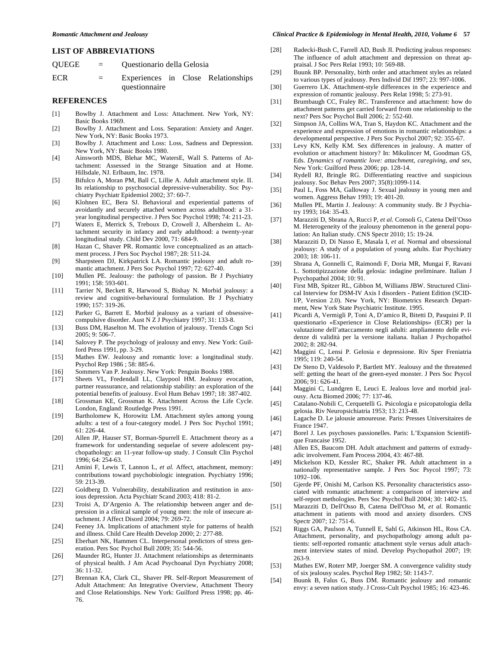### **LIST OF ABBREVIATIONS**

| QUEGE | $\alpha = 1$              | Questionario della Gelosia |                                    |  |  |
|-------|---------------------------|----------------------------|------------------------------------|--|--|
| ECR   | $\mathbf{r} = \mathbf{r}$ |                            | Experiences in Close Relationships |  |  |
|       |                           | questionnaire              |                                    |  |  |

#### **REFERENCES**

- [1] Bowlby J. Attachment and Loss: Attachment. New York, NY: Basic Books 1969.
- [2] Bowlby J. Attachment and Loss. Separation: Anxiety and Anger. New York, NY: Basic Books 1973.
- [3] Bowlby J. Attachment and Loss: Loss, Sadness and Depression. New York, NY: Basic Books 1980.
- [4] Ainsworth MDS, Blehar MC, WatersE, Wall S. Patterns of Attachment: Assessed in the Strange Situation and at Home*.* Hillsdale, NJ. Erlbaum, Inc. 1978.
- [5] Bifulco A, Moran PM, Ball C, Lillie A. Adult attachment style. II. Its relationship to psychosocial depressive-vulnerability. Soc Psychiatry Psychiatr Epidemiol 2002; 37: 60-7.
- [6] Klohnen EC, Bera SJ. Behavioral and experiential patterns of avoidantly and securely attached women across adulthood: a 31 year longitudinal perspective. J Pers Soc Psychol 1998; 74: 211-23.
- [7] Waters E, Merrick S, Treboux D, Crowell J, Albersheim L. Attachment security in infancy and early adulthood: a twenty-year longitudinal study. Child Dev 2000, 71: 684-9.
- [8] Hazan C, Shaver PR. Romantic love conceptualized as an attachment process. J Pers Soc Psychol 1987; 28: 511-24.
- [9] Sharpsteen DJ, Kirkpatrick LA. Romantic jealousy and adult romantic attachment. J Pers Soc Psychol 1997; 72: 627-40.
- [10] Mullen PE. Jealousy: the pathology of passion. Br J Psychiatry 1991; 158: 593-601.
- [11] Tarrier N, Beckett R, Harwood S, Bishay N. Morbid jealousy: a review and cognitive-behavioural formulation. Br J Psychiatry 1990; 157: 319-26.
- [12] Parker G, Barrett E. Morbid jealousy as a variant of obsessivecompulsive disorder. Aust N Z J Psychiatry 1997; 31: 133-8.
- [13] Buss DM, Haselton M. The evolution of jealousy. Trends Cogn Sci 2005; 9: 506-7.
- [14] Salovey P. The psychology of jealousy and envy. New York: Guilford Press 1991, pp. 3-29.
- [15] Mathes EW. Jealousy and romantic love: a longitudinal study. Psychol Rep 1986 ; 58: 885-6.
- [16] Sommers Van P. Jealousy. New York: Penguin Books 1988.
- [17] Sheets VL, Fredendall LL, Claypool HM. Jealousy evocation, partner reassurance, and relationship stability: an exploration of the potential benefits of jealousy. Evol Hum Behav 1997; 18: 387-402.
- [18] Grossman KE, Grossman K. Attachment Across the Life Cycle. London, England: Routledge Press 1991.
- [19] Bartholomew K, Horowitz LM. Attachment styles among young adults: a test of a four-category model. J Pers Soc Psychol 1991;  $61 \cdot 226 - 44$
- [20] Allen JP, Hauser ST, Borman-Spurrell E. Attachment theory as a framework for understanding sequelae of severe adolescent psychopathology: an 11-year follow-up study. J Consult Clin Psychol 1996; 64: 254-63.
- [21] Amini F, Lewis T, Lannon L, *et al.* Affect, attachment, memory: contributions toward psychobiologic integration. Psychiatry 1996; 59: 213-39.
- [22] Goldberg D. Vulnerability, destabilization and restitution in anxious depression. Acta Psychiatr Scand 2003; 418*:* 81-2.
- [23] Troisi A, D'Argenio A. The relationship between anger and depression in a clinical sample of young men: the role of insecure attachment. J Affect Disord 2004; 79: 269-72.
- [24] Feeney JA. Implications of attachment style for patterns of health and illness. Child Care Health Develop 2000; 2*:* 277-88.
- [25] Eberhart NK, Hammen CL. Interpersonal predictors of stress generation. Pers Soc Psychol Bull 2009; 35: 544-56.
- [26] Maunder RG, Hunter JJ. Attachment relationships as determinants of physical health. J Am Acad Psychoanal Dyn Psychiatry 2008; 36: 11-32.
- [27] Brennan KA, Clark CL, Shaver PR. Self-Report Measurement of Adult Attachment: An Integrative Overview, Attachment Theory and Close Relationships. New York: Guilford Press 1998; pp. 46- 76.

#### *Romantic Attachment and Jealousy Clinical Practice & Epidemiology in Mental Health, 2010, Volume 6* **57**

- [28] Radecki-Bush C, Farrell AD, Bush JI. Predicting jealous responses: The influence of adult attachment and depression on threat appraisal. J Soc Pers Relat 1993; 10: 569-88.
- [29] Buunk BP. Personality, birth order and attachment styles as related to various types of jealousy. Pers Individ Dif 1997; 23: 997-1006.
- [30] Guerrero LK. Attachment-style differences in the experience and expression of romantic jealousy. Pers Relat 1998; 5: 273-91.
- [31] Brumbaugh CC, Fraley RC. Transference and attachment: how do attachment patterns get carried forward from one relationship to the next? Pers Soc Psychol Bull 2006; 2*:* 552-60.
- [32] Simpson JA, Collins WA, Tran S, Haydon KC. Attachment and the experience and expression of emotions in romantic relationships: a developmental perspective. J Pers Soc Psychol 2007; 92: 355-67.
- [33] Levy KN, Kelly KM. Sex differences in jealousy. A matter of evolution or attachment history? In: Mikulincer M, Goodman GS, Eds. *Dynamics of romantic love: attachment, caregiving, and sex,*  New York: Guilford Press 2006; pp. 128-14.
- [34] Rydell RJ, Bringle RG. Differentiating reactive and suspicious jealousy. Soc Behav Pers 2007; 35(8):1099-114.
- [35] Paul L, Foss MA, Galloway J. Sexual jealousy in young men and women. Aggress Behav 1993; 19: 401-20.
- [36] Mullen PE, Martin J. Jealousy: A community study. Br J Psychiatry 1993; 164: 35-43.
- [37] Marazziti D, Sbrana A, Rucci P, *et al.* Consoli G, Catena Dell'Osso M. Heterogeneity of the jealousy phenomenon in the general population: An Italian study. CNS Spectr 2010; 15: 19-24.
- [38] Marazziti D, Di Nasso E, Masala I, *et al.* Normal and obsessional jealousy: A study of a population of young adults. Eur Psychiatry 2003; 18: 106-11.
- [39] Sbrana A, Gonnelli C, Raimondi F, Doria MR, Mungai F, Ravani L. Sottotipizzazione della gelosia: indagine preliminare. Italian J Psychopathol 2004; 10: 91.
- [40] First MB, Spitzer RL, Gibbon M, Williams JBW. Structured Clinical Interview for DSM-IV Axis I disorders - Patient Edition (SCID-I/P, Version 2.0). New York, NY: Biometrics Research Department, New York State Psychiatric Institute. 1995.
- [41] Picardi A, Vermigli P, Toni A, D'amico R, Bitetti D, Pasquini P. Il questionario «Experience in Close Relationships» (ECR) per la valutazione dell'attaccamento negli adulti: ampliamento delle evidenze di validità per la versione italiana. Italian J Psychopathol 2002; 8: 282-94.
- [42] Maggini C, Lensi P. Gelosia e depressione. Riv Sper Freniatria 1995; 119: 240-54.
- [43] De Steno D, Valdesolo P, Bartlett MY. Jealousy and the threatened self: getting the heart of the green-eyed monster. J Pers Soc Psycol 2006; 91: 626-41.
- [44] Maggini C, Lundgren E, Leuci E. Jealous love and morbid jealousy. Acta Biomed 2006; 77: 137-46.
- [45] Catalano-Nobili C, Cerquetelli G. Psicologia e psicopatologia della gelosia. Riv Neuropsichiatria 1953; 13: 213-48.
- [46] Lagache D. Le jalousie amoureuse*.* Paris: Presses Universitaires de France 1947.
- [47] Borel J. Les psychoses passionelles. Paris: L'Expansion Scientifique Francaise 1952.
- [48] Allen ES, Baucom DH. Adult attachment and patterns of extradyadic involvement. Fam Process 2004, 43: 467-88.
- [49] Mickelson KD, Kessler RC, Shaker PR. Adult attachment in a nationally representative sample. J Pers Soc Psycol 1997; 73: 1092–106.
- [50] Gjerde PF, Onishi M, Carlson KS. Personality characteristics associated with romantic attachment: a comparison of interview and self-report methologies. Pers Soc Psychol Bull 2004; 30: 1402-15.
- [51] Marazziti D, Dell'Osso B, Catena Dell'Osso M, *et al.* Romantic attachment in patients with mood and anxiety disorders. CNS Spectr 2007; 12: 751-6.
- [52] Riggs GA, Paulson A, Tunnell E, Sahl G, Atkinson HL, Ross CA. Attachment, personality, and psychopathology among adult patients: self-reported romantic attachment style versus adult attachment interview states of mind. Develop Psychopathol 2007; 19: 263-9.
- [53] Mathes EW, Roterr MP, Joerger SM. A convergence validity study of six jealousy scales. Psychol Rep 1982; 50: 1143-7.
- [54] Buunk B, Falus G, Buss DM. Romantic jealousy and romantic envy: a seven nation study. J Cross-Cult Psychol 1985; 16: 423-46.